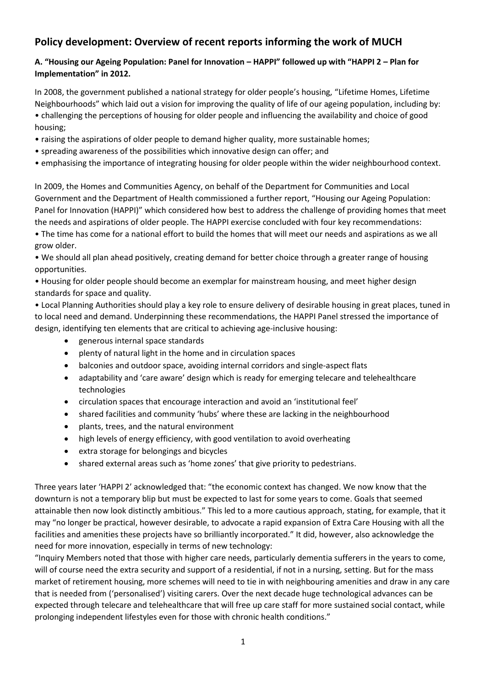## **Policy development: Overview of recent reports informing the work of MUCH**

## **A. "Housing our Ageing Population: Panel for Innovation – HAPPI" followed up with "HAPPI 2 – Plan for Implementation" in 2012.**

In 2008, the government published a national strategy for older people's housing, "Lifetime Homes, Lifetime Neighbourhoods" which laid out a vision for improving the quality of life of our ageing population, including by:

- challenging the perceptions of housing for older people and influencing the availability and choice of good housing;
- raising the aspirations of older people to demand higher quality, more sustainable homes;
- spreading awareness of the possibilities which innovative design can offer; and
- emphasising the importance of integrating housing for older people within the wider neighbourhood context.

In 2009, the Homes and Communities Agency, on behalf of the Department for Communities and Local Government and the Department of Health commissioned a further report, "Housing our Ageing Population: Panel for Innovation (HAPPI)" which considered how best to address the challenge of providing homes that meet the needs and aspirations of older people. The HAPPI exercise concluded with four key recommendations:

• The time has come for a national effort to build the homes that will meet our needs and aspirations as we all grow older.

• We should all plan ahead positively, creating demand for better choice through a greater range of housing opportunities.

• Housing for older people should become an exemplar for mainstream housing, and meet higher design standards for space and quality.

• Local Planning Authorities should play a key role to ensure delivery of desirable housing in great places, tuned in to local need and demand. Underpinning these recommendations, the HAPPI Panel stressed the importance of design, identifying ten elements that are critical to achieving age-inclusive housing:

- generous internal space standards
- plenty of natural light in the home and in circulation spaces
- balconies and outdoor space, avoiding internal corridors and single-aspect flats
- adaptability and 'care aware' design which is ready for emerging telecare and telehealthcare technologies
- circulation spaces that encourage interaction and avoid an 'institutional feel'
- shared facilities and community 'hubs' where these are lacking in the neighbourhood
- plants, trees, and the natural environment
- high levels of energy efficiency, with good ventilation to avoid overheating
- extra storage for belongings and bicycles
- shared external areas such as 'home zones' that give priority to pedestrians.

Three years later 'HAPPI 2' acknowledged that: "the economic context has changed. We now know that the downturn is not a temporary blip but must be expected to last for some years to come. Goals that seemed attainable then now look distinctly ambitious." This led to a more cautious approach, stating, for example, that it may "no longer be practical, however desirable, to advocate a rapid expansion of Extra Care Housing with all the facilities and amenities these projects have so brilliantly incorporated." It did, however, also acknowledge the need for more innovation, especially in terms of new technology:

"Inquiry Members noted that those with higher care needs, particularly dementia sufferers in the years to come, will of course need the extra security and support of a residential, if not in a nursing, setting. But for the mass market of retirement housing, more schemes will need to tie in with neighbouring amenities and draw in any care that is needed from ('personalised') visiting carers. Over the next decade huge technological advances can be expected through telecare and telehealthcare that will free up care staff for more sustained social contact, while prolonging independent lifestyles even for those with chronic health conditions."